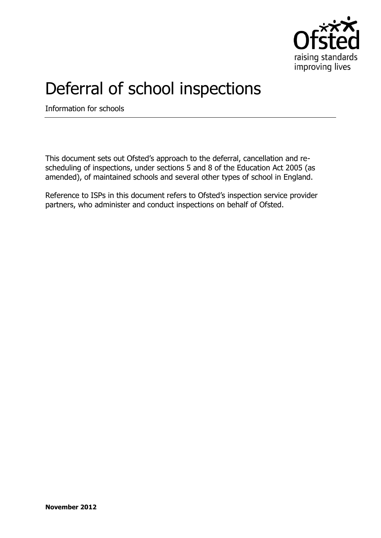

## Deferral of school inspections

Information for schools

This document sets out Ofsted's approach to the deferral, cancellation and rescheduling of inspections, under sections 5 and 8 of the Education Act 2005 (as amended), of maintained schools and several other types of school in England.

Reference to ISPs in this document refers to Ofsted's inspection service provider partners, who administer and conduct inspections on behalf of Ofsted.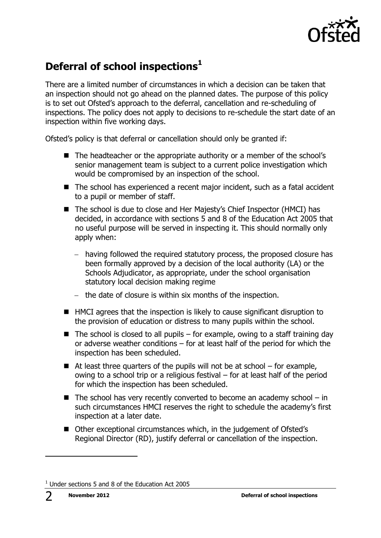

## **Deferral of school inspections<sup>1</sup>**

There are a limited number of circumstances in which a decision can be taken that an inspection should not go ahead on the planned dates. The purpose of this policy is to set out Ofsted's approach to the deferral, cancellation and re-scheduling of inspections. The policy does not apply to decisions to re-schedule the start date of an inspection within five working days.

Ofsted's policy is that deferral or cancellation should only be granted if:

- The headteacher or the appropriate authority or a member of the school's senior management team is subject to a current police investigation which would be compromised by an inspection of the school.
- The school has experienced a recent major incident, such as a fatal accident to a pupil or member of staff.
- The school is due to close and Her Majesty's Chief Inspector (HMCI) has decided, in accordance with sections 5 and 8 of the Education Act 2005 that no useful purpose will be served in inspecting it. This should normally only apply when:
	- having followed the required statutory process, the proposed closure has been formally approved by a decision of the local authority (LA) or the Schools Adjudicator, as appropriate, under the school organisation statutory local decision making regime
	- $-$  the date of closure is within six months of the inspection.
- HMCI agrees that the inspection is likely to cause significant disruption to the provision of education or distress to many pupils within the school.
- $\blacksquare$  The school is closed to all pupils for example, owing to a staff training day or adverse weather conditions – for at least half of the period for which the inspection has been scheduled.
- $\blacksquare$  At least three quarters of the pupils will not be at school for example, owing to a school trip or a religious festival – for at least half of the period for which the inspection has been scheduled.
- $\blacksquare$  The school has very recently converted to become an academy school in such circumstances HMCI reserves the right to schedule the academy's first inspection at a later date.
- Other exceptional circumstances which, in the judgement of Ofsted's Regional Director (RD), justify deferral or cancellation of the inspection.

j

 $1$  Under sections 5 and 8 of the Education Act 2005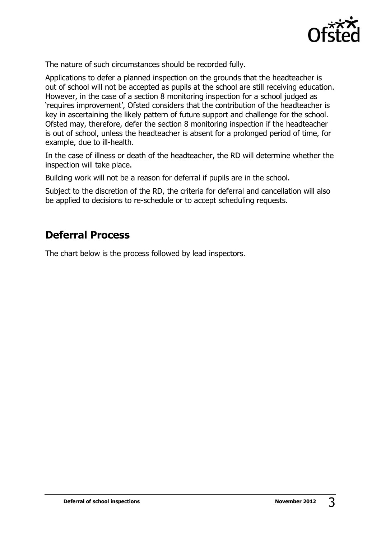

The nature of such circumstances should be recorded fully.

Applications to defer a planned inspection on the grounds that the headteacher is out of school will not be accepted as pupils at the school are still receiving education. However, in the case of a section 8 monitoring inspection for a school judged as 'requires improvement', Ofsted considers that the contribution of the headteacher is key in ascertaining the likely pattern of future support and challenge for the school. Ofsted may, therefore, defer the section 8 monitoring inspection if the headteacher is out of school, unless the headteacher is absent for a prolonged period of time, for example, due to ill-health.

In the case of illness or death of the headteacher, the RD will determine whether the inspection will take place.

Building work will not be a reason for deferral if pupils are in the school.

Subject to the discretion of the RD, the criteria for deferral and cancellation will also be applied to decisions to re-schedule or to accept scheduling requests.

## **Deferral Process**

The chart below is the process followed by lead inspectors.